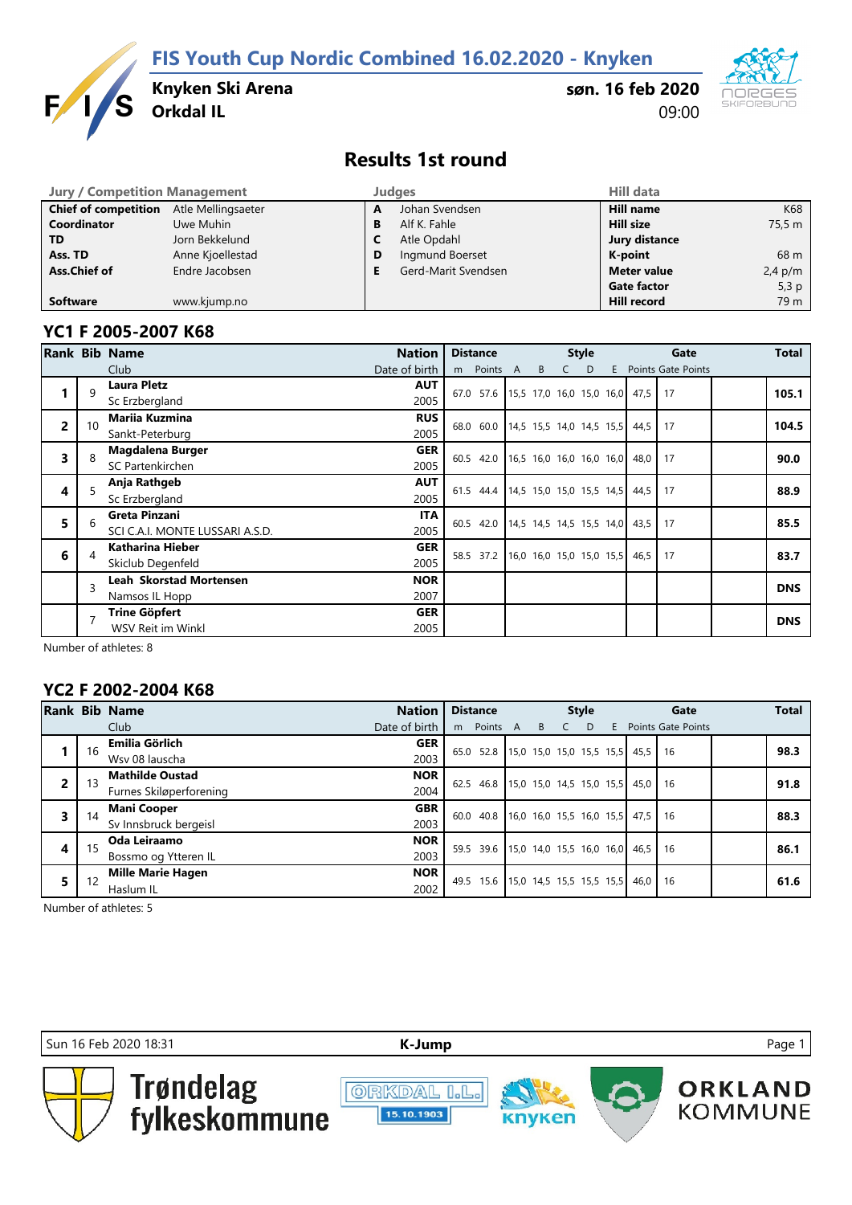**FIS Youth Cup Nordic Combined 16.02.2020 - Knyken**



**Knyken Ski Arena**

**søn. 16 feb 2020** 09:00



### **Results 1st round**

| <b>Jury / Competition Management</b> |                    |   | <b>Judges</b>       | <b>Hill data</b>   |           |
|--------------------------------------|--------------------|---|---------------------|--------------------|-----------|
| <b>Chief of competition</b>          | Atle Mellingsaeter | A | Johan Svendsen      | Hill name          | K68       |
| Coordinator                          | Uwe Muhin          | В | Alf K. Fahle        | Hill size          | 75.5 m    |
| <b>TD</b>                            | Jorn Bekkelund     |   | Atle Opdahl         | Jury distance      |           |
| Ass. TD                              | Anne Kjoellestad   | D | Ingmund Boerset     | K-point            | 68 m      |
| Ass.Chief of                         | Endre Jacobsen     |   | Gerd-Marit Svendsen | <b>Meter value</b> | $2,4$ p/m |
|                                      |                    |   |                     | <b>Gate factor</b> | 5,3 $p$   |
| <b>Software</b>                      | www.kjump.no       |   |                     | <b>Hill record</b> | 79 m      |

#### **YC1 F 2005-2007 K68**

|                |                         | Rank Bib Name                   | <b>Nation</b> | <b>Distance</b>                            |   |   | <b>Style</b>             |   |                                  | Total              |  |            |
|----------------|-------------------------|---------------------------------|---------------|--------------------------------------------|---|---|--------------------------|---|----------------------------------|--------------------|--|------------|
|                |                         | Club                            | Date of birth | Points A<br>m                              | B | C | D                        | E |                                  | Points Gate Points |  |            |
|                | q                       | <b>Laura Pletz</b>              | <b>AUT</b>    |                                            |   |   |                          |   |                                  |                    |  |            |
|                |                         | Sc Erzbergland                  | 2005          | 67.0 57.6 15,5 17,0 16,0 15,0 16,0 47,5 17 |   |   |                          |   |                                  |                    |  | 105.1      |
| $\overline{2}$ | 10                      | <b>Marija Kuzmina</b>           | <b>RUS</b>    | 68.0 60.0                                  |   |   | 14,5 15,5 14,0 14,5 15,5 |   | 44.5                             | 17                 |  | 104.5      |
|                |                         | Sankt-Peterburg                 | 2005          |                                            |   |   |                          |   |                                  |                    |  |            |
| 3              |                         | <b>Magdalena Burger</b>         | <b>GER</b>    | 60.5 42.0 16,5 16,0 16,0 16,0 16,0 48,0 17 |   |   |                          |   |                                  |                    |  | 90.0       |
|                |                         | SC Partenkirchen                | 2005          |                                            |   |   |                          |   |                                  |                    |  |            |
| 4              |                         | Anja Rathgeb                    | <b>AUT</b>    | 61.5 44.4 14,5 15,0 15,0 15,5 14,5 44,5 17 |   |   |                          |   |                                  |                    |  | 88.9       |
|                |                         | Sc Erzbergland                  | 2005          |                                            |   |   |                          |   |                                  |                    |  |            |
| 5              | 6                       | Greta Pinzani                   | <b>ITA</b>    | 60.5 42.0                                  |   |   |                          |   | 14,5 14,5 14,5 15,5 14,0 43,5 17 |                    |  | 85.5       |
|                |                         | SCI C.A.I. MONTE LUSSARI A.S.D. | 2005          |                                            |   |   |                          |   |                                  |                    |  |            |
| 6              |                         | Katharina Hieber                | <b>GER</b>    | 58.5 37.2                                  |   |   | 16,0 16,0 15,0 15,0 15,5 |   | $46,5$                           | 17                 |  | 83.7       |
|                |                         | Skiclub Degenfeld               | 2005          |                                            |   |   |                          |   |                                  |                    |  |            |
|                | $\overline{\mathbf{a}}$ | <b>Leah Skorstad Mortensen</b>  | <b>NOR</b>    |                                            |   |   |                          |   |                                  |                    |  | <b>DNS</b> |
|                |                         | Namsos IL Hopp                  | 2007          |                                            |   |   |                          |   |                                  |                    |  |            |
|                |                         | <b>Trine Göpfert</b>            | <b>GER</b>    |                                            |   |   |                          |   |                                  |                    |  | <b>DNS</b> |
|                |                         | WSV Reit im Winkl               | 2005          |                                            |   |   |                          |   |                                  |                    |  |            |

Number of athletes: 8

#### **YC2 F 2002-2004 K68**

|   |    | <b>Rank Bib Name</b>     | <b>Nation</b> |      | <b>Distance</b>                       | <b>Style</b> |  |       |  |  |                                       | Gate                 | <b>Total</b> |
|---|----|--------------------------|---------------|------|---------------------------------------|--------------|--|-------|--|--|---------------------------------------|----------------------|--------------|
|   |    | Club                     | Date of birth | m    | Points A                              |              |  | B C D |  |  |                                       | E Points Gate Points |              |
|   | 16 | Emilia Görlich           | <b>GER</b>    | 65.0 | 52.8 15,0 15,0 15,0 15,5 15,5 45,5 16 |              |  |       |  |  |                                       |                      | 98.3         |
|   |    | Wsv 08 lauscha           | 2003          |      |                                       |              |  |       |  |  |                                       |                      |              |
| 2 |    | <b>Mathilde Oustad</b>   | <b>NOR</b>    | 62.5 |                                       |              |  |       |  |  | 46.8 15,0 15,0 14,5 15,0 15,5 45,0 16 |                      | 91.8         |
|   |    | Furnes Skiløperforening  | 2004          |      |                                       |              |  |       |  |  |                                       |                      |              |
| 3 | 14 | <b>Mani Cooper</b>       | <b>GBR</b>    | 60.0 |                                       |              |  |       |  |  | 40.8 16.0 16.0 15.5 16.0 15.5 47.5 16 |                      | 88.3         |
|   |    | Sv Innsbruck bergeisl    | 2003          |      |                                       |              |  |       |  |  |                                       |                      |              |
| 4 | 15 | Oda Leiraamo             | <b>NOR</b>    | 59.5 |                                       |              |  |       |  |  | 39.6 15,0 14,0 15,5 16,0 16,0 46,5 16 |                      | 86.1         |
|   |    | Bossmo og Ytteren IL     | 2003          |      |                                       |              |  |       |  |  |                                       |                      |              |
| 5 |    | <b>Mille Marie Hagen</b> | <b>NOR</b>    |      | 15.6 15,0 14,5 15,5 15,5 15,5         |              |  |       |  |  | 46,0   16                             |                      | 61.6         |
|   |    | Haslum IL                | 2002          | 49.5 |                                       |              |  |       |  |  |                                       |                      |              |

Number of athletes: 5

Sun 16 Feb 2020 18:31 **[K-J](http://kjump.no/)ump** Page 1



Trøndelag<br>fylkeskommune

**ORKDAL I.L.** 15.10.1903



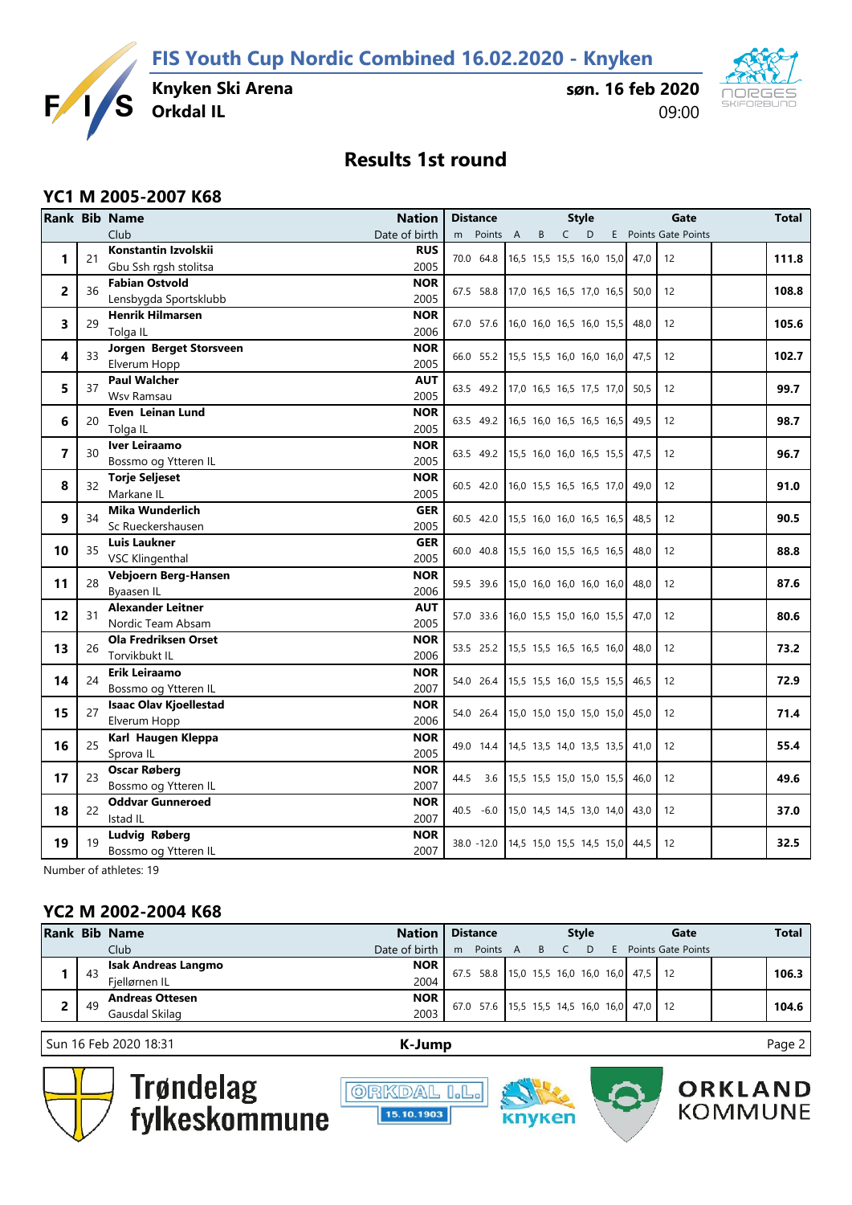**FIS Youth Cup Nordic Combined 16.02.2020 - Knyken**



**søn. 16 feb 2020** 09:00



# **Results 1st round**

#### **YC1 M 2005-2007 K68**

|    |    | <b>Rank Bib Name</b><br><b>Nation</b>       | <b>Distance</b>                       |                            |              | <b>Style</b> |      | Gate                 | Total |
|----|----|---------------------------------------------|---------------------------------------|----------------------------|--------------|--------------|------|----------------------|-------|
|    |    | Club<br>Date of birth                       | Points A<br>m                         | B                          | $\mathsf{C}$ | D            |      | E Points Gate Points |       |
| 1  | 21 | Konstantin Izvolskii<br><b>RUS</b>          | 70.0 64.8                             | 16,5 15,5 15,5 16,0 15,0   |              |              |      | 47,0<br>12           | 111.8 |
|    |    | 2005<br>Gbu Ssh rgsh stolitsa               |                                       |                            |              |              |      |                      |       |
| 2  | 36 | <b>Fabian Ostvold</b><br><b>NOR</b>         | 67.5 58.8                             | 17,0 16,5 16,5 17,0 16,5   |              |              |      | 50,0<br>12           | 108.8 |
|    |    | Lensbygda Sportsklubb<br>2005               |                                       |                            |              |              |      |                      |       |
| 3  | 29 | <b>NOR</b><br><b>Henrik Hilmarsen</b>       | 67.0 57.6                             | $16,0$ 16,0 16,5 16,0 15,5 |              |              | 48,0 | 12                   | 105.6 |
|    |    | 2006<br>Tolga IL                            |                                       |                            |              |              |      |                      |       |
| 4  | 33 | Jorgen Berget Storsveen<br><b>NOR</b>       | 66.0 55.2 15,5 15,5 16,0 16,0 16,0    |                            |              |              | 47,5 | 12                   | 102.7 |
|    |    | 2005<br>Elverum Hopp                        |                                       |                            |              |              |      |                      |       |
| 5  | 37 | <b>Paul Walcher</b><br><b>AUT</b>           | 63.5 49.2 17,0 16,5 16,5 17,5 17,0    |                            |              |              | 50,5 | 12                   | 99.7  |
|    |    | Wsv Ramsau<br>2005                          |                                       |                            |              |              |      |                      |       |
| 6  | 20 | <b>NOR</b><br>Even Leinan Lund              | 63.5 49.2                             | 16,5 16,0 16,5 16,5 16,5   |              |              | 49,5 | 12                   | 98.7  |
|    |    | 2005<br>Tolga IL                            |                                       |                            |              |              |      |                      |       |
| 7  | 30 | Iver Leiraamo<br><b>NOR</b>                 | 63.5 49.2 15,5 16,0 16,0 16,5 15,5    |                            |              |              | 47,5 | 12                   | 96.7  |
|    |    | 2005<br>Bossmo og Ytteren IL<br><b>NOR</b>  |                                       |                            |              |              |      |                      |       |
| 8  | 32 | <b>Torje Seljeset</b><br>2005<br>Markane IL | 60.5 42.0                             | $16,0$ 15,5 16,5 16,5 17,0 |              |              | 49,0 | 12                   | 91.0  |
|    |    | <b>Mika Wunderlich</b><br><b>GER</b>        |                                       |                            |              |              |      |                      |       |
| 9  | 34 | Sc Rueckershausen<br>2005                   | 60.5 42.0                             | 15,5 16,0 16,0 16,5 16,5   |              |              |      | 48,5<br>12           | 90.5  |
|    |    | <b>GER</b><br><b>Luis Laukner</b>           |                                       |                            |              |              |      |                      |       |
| 10 | 35 | <b>VSC Klingenthal</b><br>2005              | 60.0 40.8                             | 15,5 16,0 15,5 16,5 16,5   |              |              | 48,0 | 12                   | 88.8  |
|    |    | <b>NOR</b><br>Vebjoern Berg-Hansen          |                                       |                            |              |              |      |                      |       |
| 11 | 28 | 2006<br>Byaasen IL                          | 59.5 39.6                             | 15,0 16,0 16,0 16,0 16,0   |              |              | 48,0 | 12                   | 87.6  |
|    |    | <b>Alexander Leitner</b><br><b>AUT</b>      |                                       |                            |              |              |      |                      |       |
| 12 | 31 | Nordic Team Absam<br>2005                   | 57.0 33.6                             | $16,0$ 15,5 15,0 16,0 15,5 |              |              | 47.0 | 12                   | 80.6  |
|    |    | <b>Ola Fredriksen Orset</b><br><b>NOR</b>   |                                       |                            |              |              |      |                      |       |
| 13 | 26 | 2006<br>Torvikbukt IL                       | 53.5 25.2                             | $15.5$ 15.5 16.5 16.5 16.0 |              |              | 48.0 | 12                   | 73.2  |
|    |    | <b>NOR</b><br>Erik Leiraamo                 |                                       |                            |              |              |      |                      |       |
| 14 | 24 | 2007<br>Bossmo og Ytteren IL                | 54.0 26.4                             | $15,5$ 15,5 16,0 15,5 15,5 |              |              | 46.5 | 12                   | 72.9  |
| 15 | 27 | <b>Isaac Olav Kjoellestad</b><br><b>NOR</b> | 54.0 26.4                             |                            |              |              |      |                      |       |
|    |    | 2006<br>Elverum Hopp                        |                                       | 15,0 15,0 15,0 15,0 15,0   |              |              | 45,0 | 12                   | 71.4  |
| 16 | 25 | Karl Haugen Kleppa<br><b>NOR</b>            | 49.0 14.4                             | 14,5 13,5 14,0 13,5 13,5   |              |              | 41,0 | 12                   | 55.4  |
|    |    | 2005<br>Sprova IL                           |                                       |                            |              |              |      |                      |       |
| 17 | 23 | <b>NOR</b><br><b>Oscar Røberg</b>           | 44.5<br>3.6                           | $15,5$ 15,5 15,0 15,0 15,5 |              |              | 46,0 | 12                   | 49.6  |
|    |    | 2007<br>Bossmo og Ytteren IL                |                                       |                            |              |              |      |                      |       |
| 18 | 22 | <b>Oddvar Gunneroed</b><br><b>NOR</b>       | 40.5 -6.0   15,0 14,5 14,5 13,0 14,0  |                            |              |              | 43,0 | 12                   | 37.0  |
|    |    | 2007<br>Istad IL                            |                                       |                            |              |              |      |                      |       |
| 19 | 19 | <b>NOR</b><br><b>Ludvig Røberg</b>          | 38.0 -12.0   14,5 15,0 15,5 14,5 15,0 |                            |              |              | 44,5 | 12                   | 32.5  |
|    |    | 2007<br>Bossmo og Ytteren IL                |                                       |                            |              |              |      |                      |       |

Number of athletes: 19

### **YC2 M 2002-2004 K68**

|     | <b>Rank Bib Name</b>   | <b>Nation</b> | <b>Distance</b> |                                       |  | <b>Style</b> |  |   |          |                                       | Gate                      |  |       |
|-----|------------------------|---------------|-----------------|---------------------------------------|--|--------------|--|---|----------|---------------------------------------|---------------------------|--|-------|
|     | Club                   | Date of birth | m               | Points A                              |  | B            |  | D | <b>F</b> |                                       | <b>Points Gate Points</b> |  |       |
|     | Isak Andreas Langmo    | <b>NOR</b>    | 67.5            |                                       |  |              |  |   |          |                                       |                           |  | 106.3 |
| -43 | Fiellørnen IL          | 2004          |                 |                                       |  |              |  |   |          | 58.8 15,0 15,5 16,0 16,0 16,0 47,5 12 |                           |  |       |
|     | <b>Andreas Ottesen</b> | <b>NOR</b>    |                 |                                       |  |              |  |   |          |                                       |                           |  |       |
| 49  | Gausdal Skilag         | 2003          | 67.0            | 57.6 15.5 15.5 14.5 16.0 16.0 47.0 12 |  |              |  |   |          |                                       |                           |  | 104.6 |

Sun 16 Feb 2020 18:31 **[K-J](http://kjump.no/)ump** Page 2

**ORKLAND** 

**KOMMUNE** 



Trøndelag<br>fylkeskommune